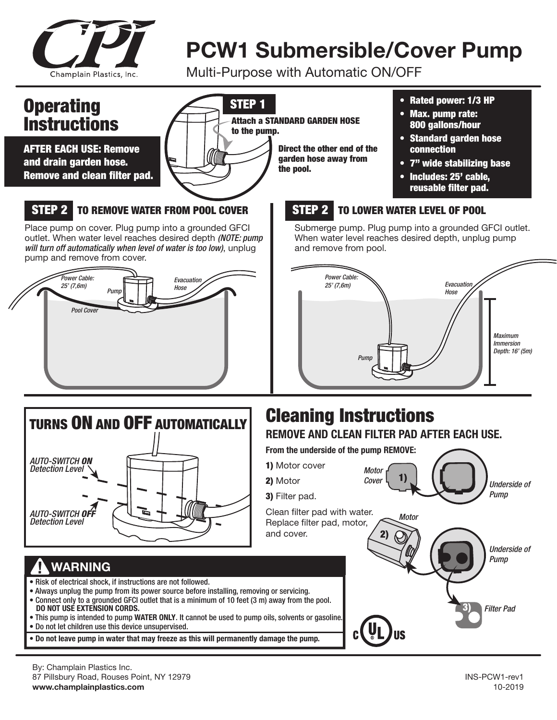

# **PCW1 Submersible/Cover Pump**

Multi-Purpose with Automatic ON/OFF



87 Pillsbury Road, Rouses Point, NY 12979 INS-PCW1-rev1 **www.champlainplastics.com** 10-2019